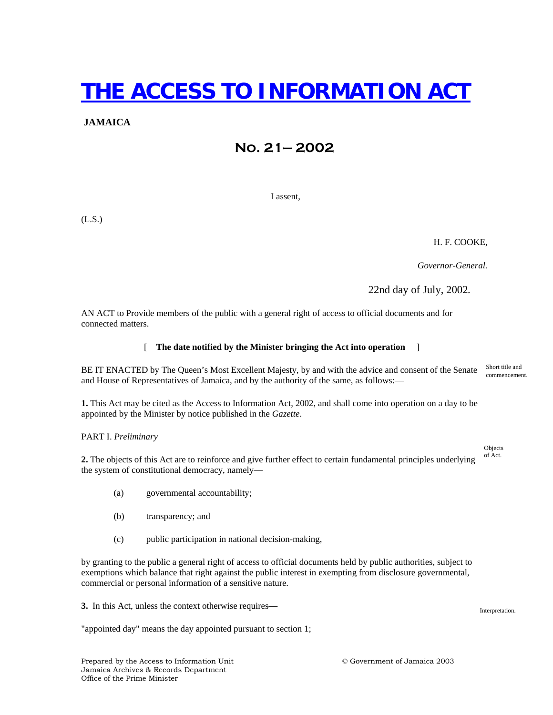# **THE ACCESS TO INFORMATION ACT**

### **JAMAICA**

# **No. 21— 2002**

I assent,

(L.S.)

H. F. COOKE,

 *Governor-General.* 

22nd day of July, 2002*.*

AN ACT to Provide members of the public with a general right of access to official documents and for connected matters.

#### [ **The date notified by the Minister bringing the Act into operation** ]

BE IT ENACTED by The Queen's Most Excellent Majesty, by and with the advice and consent of the Senate and House of Representatives of Jamaica, and by the authority of the same, as follows:— Short title and commencement.

**1.** This Act may be cited as the Access to Information Act, 2002, and shall come into operation on a day to be appointed by the Minister by notice published in the *Gazette*.

#### PART I. *Preliminary*

**2.** The objects of this Act are to reinforce and give further effect to certain fundamental principles underlying the system of constitutional democracy, namely—

- (a) governmental accountability;
- (b) transparency; and
- (c) public participation in national decision-making,

by granting to the public a general right of access to official documents held by public authorities, subject to exemptions which balance that right against the public interest in exempting from disclosure governmental, commercial or personal information of a sensitive nature.

**3.** In this Act, unless the context otherwise requires—

"appointed day" means the day appointed pursuant to section 1;

Objects

of Act.

Interpretation.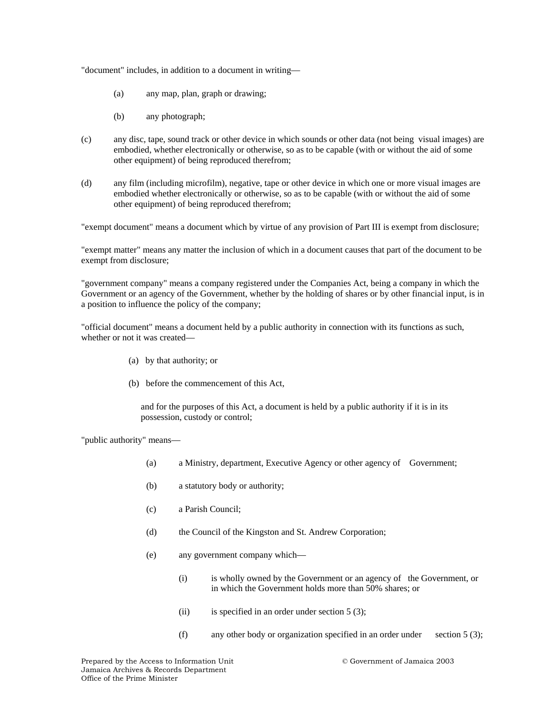"document" includes, in addition to a document in writing—

- (a) any map, plan, graph or drawing;
- (b) any photograph;
- (c) any disc, tape, sound track or other device in which sounds or other data (not being visual images) are embodied, whether electronically or otherwise, so as to be capable (with or without the aid of some other equipment) of being reproduced therefrom;
- (d) any film (including microfilm), negative, tape or other device in which one or more visual images are embodied whether electronically or otherwise, so as to be capable (with or without the aid of some other equipment) of being reproduced therefrom;

"exempt document" means a document which by virtue of any provision of Part III is exempt from disclosure;

"exempt matter" means any matter the inclusion of which in a document causes that part of the document to be exempt from disclosure;

"government company" means a company registered under the Companies Act, being a company in which the Government or an agency of the Government, whether by the holding of shares or by other financial input, is in a position to influence the policy of the company;

"official document" means a document held by a public authority in connection with its functions as such, whether or not it was created—

- (a) by that authority; or
- (b) before the commencement of this Act,

and for the purposes of this Act, a document is held by a public authority if it is in its possession, custody or control;

"public authority" means—

- (a) a Ministry, department, Executive Agency or other agency of Government;
- (b) a statutory body or authority;
- (c) a Parish Council;
- (d) the Council of the Kingston and St. Andrew Corporation;
- (e) any government company which—
	- (i) is wholly owned by the Government or an agency of the Government, or in which the Government holds more than 50% shares; or
	- (ii) is specified in an order under section  $5(3)$ ;
	- (f) any other body or organization specified in an order under section 5 (3);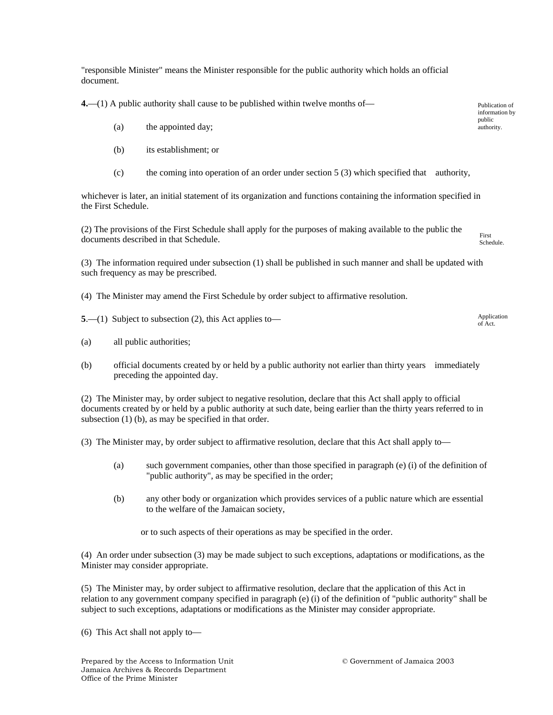"responsible Minister" means the Minister responsible for the public authority which holds an official document.

**4.**—(1) A public authority shall cause to be published within twelve months of—

- (a) the appointed day;
- (b) its establishment; or
- (c) the coming into operation of an order under section 5 (3) which specified that authority,

whichever is later, an initial statement of its organization and functions containing the information specified in the First Schedule.

(2) The provisions of the First Schedule shall apply for the purposes of making available to the public the documents described in that Schedule. First Schedule.

(3) The information required under subsection (1) shall be published in such manner and shall be updated with such frequency as may be prescribed.

- (4) The Minister may amend the First Schedule by order subject to affirmative resolution.
- **5**.—(1) Subject to subsection (2), this Act applies to—
- (a) all public authorities;
- (b) official documents created by or held by a public authority not earlier than thirty years immediately preceding the appointed day.

(2) The Minister may, by order subject to negative resolution, declare that this Act shall apply to official documents created by or held by a public authority at such date, being earlier than the thirty years referred to in subsection (1) (b), as may be specified in that order.

(3) The Minister may, by order subject to affirmative resolution, declare that this Act shall apply to—

- (a) such government companies, other than those specified in paragraph (e) (i) of the definition of "public authority", as may be specified in the order;
- (b) any other body or organization which provides services of a public nature which are essential to the welfare of the Jamaican society,

or to such aspects of their operations as may be specified in the order.

(4) An order under subsection (3) may be made subject to such exceptions, adaptations or modifications, as the Minister may consider appropriate.

(5) The Minister may, by order subject to affirmative resolution, declare that the application of this Act in relation to any government company specified in paragraph (e) (i) of the definition of "public authority" shall be subject to such exceptions, adaptations or modifications as the Minister may consider appropriate.

(6) This Act shall not apply to—

Publication of information by public authority.

Application of Act.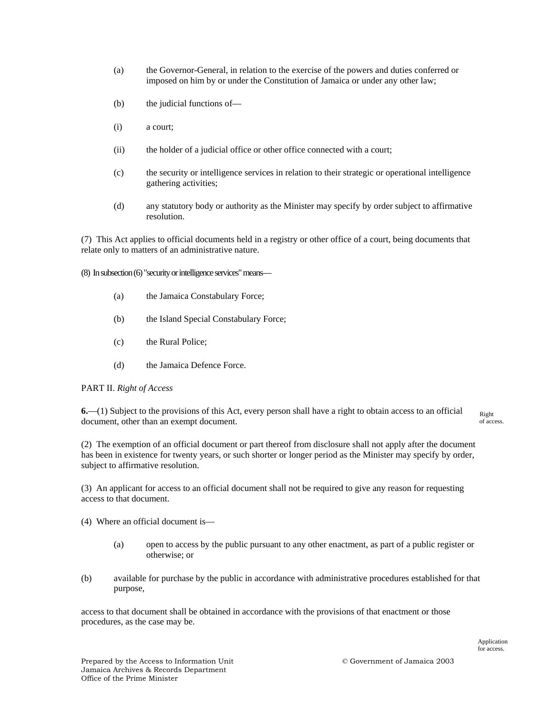- (a) the Governor-General, in relation to the exercise of the powers and duties conferred or imposed on him by or under the Constitution of Jamaica or under any other law;
- (b) the judicial functions of—
- (i) a court;
- (ii) the holder of a judicial office or other office connected with a court;
- (c) the security or intelligence services in relation to their strategic or operational intelligence gathering activities;
- (d) any statutory body or authority as the Minister may specify by order subject to affirmative resolution.

(7) This Act applies to official documents held in a registry or other office of a court, being documents that relate only to matters of an administrative nature.

(8) In subsection (6) "security or intelligence services" means—

- (a) the Jamaica Constabulary Force;
- (b) the Island Special Constabulary Force;
- (c) the Rural Police;
- (d) the Jamaica Defence Force.

#### PART II. *Right of Access*

**6.**—(1) Subject to the provisions of this Act, every person shall have a right to obtain access to an official document, other than an exempt document. Right of access.

(2) The exemption of an official document or part thereof from disclosure shall not apply after the document has been in existence for twenty years, or such shorter or longer period as the Minister may specify by order, subject to affirmative resolution.

(3) An applicant for access to an official document shall not be required to give any reason for requesting access to that document.

- (4) Where an official document is—
	- (a) open to access by the public pursuant to any other enactment, as part of a public register or otherwise; or
- (b) available for purchase by the public in accordance with administrative procedures established for that purpose,

access to that document shall be obtained in accordance with the provisions of that enactment or those procedures, as the case may be.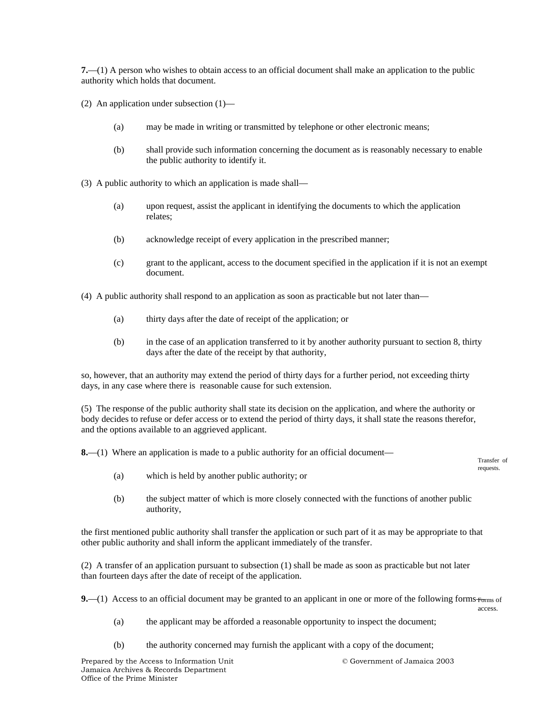**7.**—(1) A person who wishes to obtain access to an official document shall make an application to the public authority which holds that document.

(2) An application under subsection (1)—

- (a) may be made in writing or transmitted by telephone or other electronic means;
- (b) shall provide such information concerning the document as is reasonably necessary to enable the public authority to identify it.
- (3) A public authority to which an application is made shall—
	- (a) upon request, assist the applicant in identifying the documents to which the application relates;
	- (b) acknowledge receipt of every application in the prescribed manner;
	- (c) grant to the applicant, access to the document specified in the application if it is not an exempt document.

(4) A public authority shall respond to an application as soon as practicable but not later than—

- (a) thirty days after the date of receipt of the application; or
- (b) in the case of an application transferred to it by another authority pursuant to section 8, thirty days after the date of the receipt by that authority,

so, however, that an authority may extend the period of thirty days for a further period, not exceeding thirty days, in any case where there is reasonable cause for such extension.

(5) The response of the public authority shall state its decision on the application, and where the authority or body decides to refuse or defer access or to extend the period of thirty days, it shall state the reasons therefor, and the options available to an aggrieved applicant.

**8.**—(1) Where an application is made to a public authority for an official document—

Transfer of requests.

- (a) which is held by another public authority; or
- (b) the subject matter of which is more closely connected with the functions of another public authority,

the first mentioned public authority shall transfer the application or such part of it as may be appropriate to that other public authority and shall inform the applicant immediately of the transfer.

(2) A transfer of an application pursuant to subsection (1) shall be made as soon as practicable but not later than fourteen days after the date of receipt of the application.

**9.**—(1) Access to an official document may be granted to an applicant in one or more of the following forms  $_{\text{Forms}}$  of access.

- (a) the applicant may be afforded a reasonable opportunity to inspect the document;
- (b) the authority concerned may furnish the applicant with a copy of the document;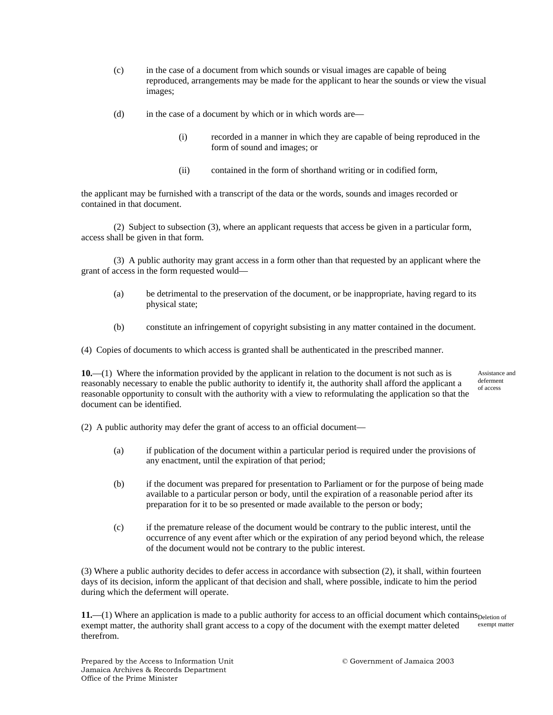- (c) in the case of a document from which sounds or visual images are capable of being reproduced, arrangements may be made for the applicant to hear the sounds or view the visual images;
- (d) in the case of a document by which or in which words are—
	- (i) recorded in a manner in which they are capable of being reproduced in the form of sound and images; or
	- (ii) contained in the form of shorthand writing or in codified form,

the applicant may be furnished with a transcript of the data or the words, sounds and images recorded or contained in that document.

(2) Subject to subsection (3), where an applicant requests that access be given in a particular form, access shall be given in that form.

(3) A public authority may grant access in a form other than that requested by an applicant where the grant of access in the form requested would—

- (a) be detrimental to the preservation of the document, or be inappropriate, having regard to its physical state;
- (b) constitute an infringement of copyright subsisting in any matter contained in the document.

(4) Copies of documents to which access is granted shall be authenticated in the prescribed manner.

**10.**—(1) Where the information provided by the applicant in relation to the document is not such as is reasonably necessary to enable the public authority to identify it, the authority shall afford the applicant a reasonable opportunity to consult with the authority with a view to reformulating the application so that the document can be identified.

Assistance and deferment of access

(2) A public authority may defer the grant of access to an official document—

- (a) if publication of the document within a particular period is required under the provisions of any enactment, until the expiration of that period;
- (b) if the document was prepared for presentation to Parliament or for the purpose of being made available to a particular person or body, until the expiration of a reasonable period after its preparation for it to be so presented or made available to the person or body;
- (c) if the premature release of the document would be contrary to the public interest, until the occurrence of any event after which or the expiration of any period beyond which, the release of the document would not be contrary to the public interest.

(3) Where a public authority decides to defer access in accordance with subsection (2), it shall, within fourteen days of its decision, inform the applicant of that decision and shall, where possible, indicate to him the period during which the deferment will operate.

 $11$ —(1) Where an application is made to a public authority for access to an official document which contains  $p_{\text{eletion of}}$ exempt matter, the authority shall grant access to a copy of the document with the exempt matter deleted therefrom. exempt matter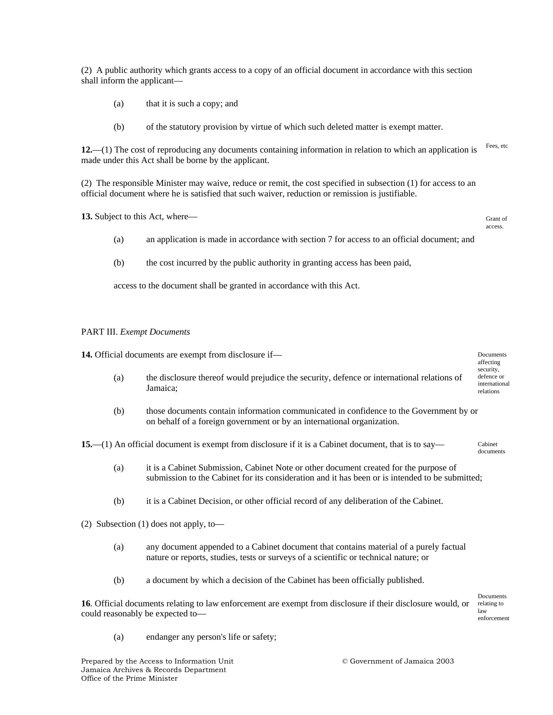(2) A public authority which grants access to a copy of an official document in accordance with this section shall inform the applicant—

- (a) that it is such a copy; and
- (b) of the statutory provision by virtue of which such deleted matter is exempt matter.

**12.**—(1) The cost of reproducing any documents containing information in relation to which an application is made under this Act shall be borne by the applicant. Fees, etc

(2) The responsible Minister may waive, reduce or remit, the cost specified in subsection (1) for access to an official document where he is satisfied that such waiver, reduction or remission is justifiable.

**13.** Subject to this Act, where—

- Grant of access.
- (a) an application is made in accordance with section 7 for access to an official document; and
- (b) the cost incurred by the public authority in granting access has been paid,

access to the document shall be granted in accordance with this Act.

#### PART III. *Exempt Documents*

**14.** Official documents are exempt from disclosure if— (a) the disclosure thereof would prejudice the security, defence or international relations of Jamaica; (b) those documents contain information communicated in confidence to the Government by or on behalf of a foreign government or by an international organization. **15.**—(1) An official document is exempt from disclosure if it is a Cabinet document, that is to say— (a) it is a Cabinet Submission, Cabinet Note or other document created for the purpose of submission to the Cabinet for its consideration and it has been or is intended to be submitted; (b) it is a Cabinet Decision, or other official record of any deliberation of the Cabinet. (2) Subsection (1) does not apply, to— (a) any document appended to a Cabinet document that contains material of a purely factual nature or reports, studies, tests or surveys of a scientific or technical nature; or (b) a document by which a decision of the Cabinet has been officially published. **16**. Official documents relating to law enforcement are exempt from disclosure if their disclosure would, or could reasonably be expected to— Documents affecting security, defence or international relations Cabinet documents Documents relating to law enforcement

(a) endanger any person's life or safety;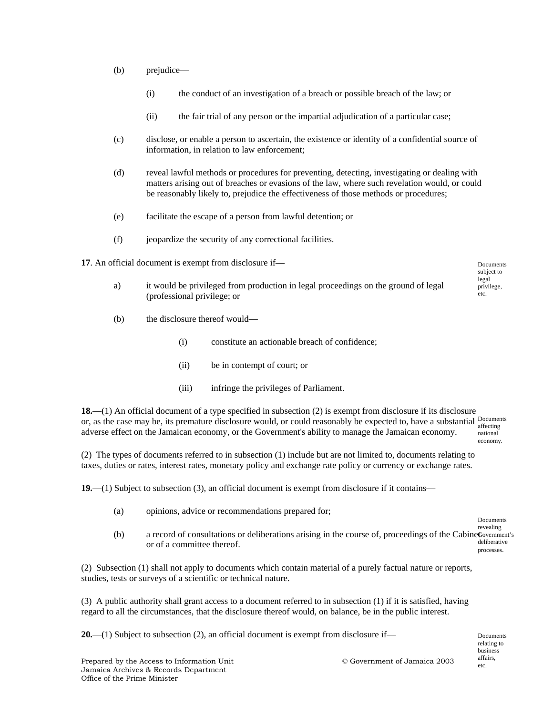- (b) prejudice—
	- (i) the conduct of an investigation of a breach or possible breach of the law; or
	- (ii) the fair trial of any person or the impartial adjudication of a particular case;
- (c) disclose, or enable a person to ascertain, the existence or identity of a confidential source of information, in relation to law enforcement;
- (d) reveal lawful methods or procedures for preventing, detecting, investigating or dealing with matters arising out of breaches or evasions of the law, where such revelation would, or could be reasonably likely to, prejudice the effectiveness of those methods or procedures;
- (e) facilitate the escape of a person from lawful detention; or
- (f) jeopardize the security of any correctional facilities.

**17**. An official document is exempt from disclosure if—

- a) it would be privileged from production in legal proceedings on the ground of legal (professional privilege; or
- (b) the disclosure thereof would—
	- (i) constitute an actionable breach of confidence;
	- (ii) be in contempt of court; or
	- (iii) infringe the privileges of Parliament.

**18.**—(1) An official document of a type specified in subsection (2) is exempt from disclosure if its disclosure or, as the case may be, its premature disclosure would, or could reasonably be expected to, have a substantial pocuments adverse effect on the Jamaican economy, or the Government's ability to manage the Jamaican economy. affecting national economy.

(2) The types of documents referred to in subsection (1) include but are not limited to, documents relating to taxes, duties or rates, interest rates, monetary policy and exchange rate policy or currency or exchange rates.

**19.**—(1) Subject to subsection (3), an official document is exempt from disclosure if it contains—

- (a) opinions, advice or recommendations prepared for;
- (b) a record of consultations or deliberations arising in the course of, proceedings of the Cabine Government's or of a committee thereof. Documents revealing deliberative processes.

(2) Subsection (1) shall not apply to documents which contain material of a purely factual nature or reports, studies, tests or surveys of a scientific or technical nature.

(3) A public authority shall grant access to a document referred to in subsection (1) if it is satisfied, having regard to all the circumstances, that the disclosure thereof would, on balance, be in the public interest.

**20.**—(1) Subject to subsection (2), an official document is exempt from disclosure if—

Documents subject to legal privilege, etc.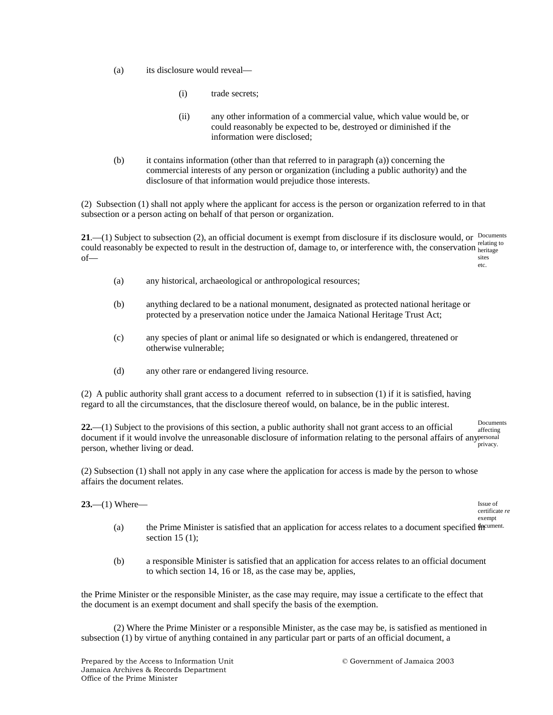- (a) its disclosure would reveal—
	- (i) trade secrets;
	- (ii) any other information of a commercial value, which value would be, or could reasonably be expected to be, destroyed or diminished if the information were disclosed;
- (b) it contains information (other than that referred to in paragraph (a)) concerning the commercial interests of any person or organization (including a public authority) and the disclosure of that information would prejudice those interests.

(2) Subsection (1) shall not apply where the applicant for access is the person or organization referred to in that subsection or a person acting on behalf of that person or organization.

**21.**—(1) Subject to subsection (2), an official document is exempt from disclosure if its disclosure would, or  $D_{\text{c} \text{c} \text{unents}}$ could reasonably be expected to result in the destruction of, damage to, or interference with, the conservation  $\frac{\text{relating to}}{\text{lefting to}}}$ of heritage sites etc.

- (a) any historical, archaeological or anthropological resources;
- (b) anything declared to be a national monument, designated as protected national heritage or protected by a preservation notice under the Jamaica National Heritage Trust Act;
- (c) any species of plant or animal life so designated or which is endangered, threatened or otherwise vulnerable;
- (d) any other rare or endangered living resource.

(2) A public authority shall grant access to a document referred to in subsection (1) if it is satisfied, having regard to all the circumstances, that the disclosure thereof would, on balance, be in the public interest.

**22.**—(1) Subject to the provisions of this section, a public authority shall not grant access to an official document if it would involve the unreasonable disclosure of information relating to the personal affairs of any personal person, whether living or dead. Documents affecting privacy.

(2) Subsection (1) shall not apply in any case where the application for access is made by the person to whose affairs the document relates.

**23.**—(1) Where—

Issue of certificate *re*  exempt

- (a) the Prime Minister is satisfied that an application for access relates to a document specified  $\mathbf{f}$ ff<sup>cument.</sup> section  $15(1)$ :
- (b) a responsible Minister is satisfied that an application for access relates to an official document to which section 14, 16 or 18, as the case may be, applies,

the Prime Minister or the responsible Minister, as the case may require, may issue a certificate to the effect that the document is an exempt document and shall specify the basis of the exemption.

(2) Where the Prime Minister or a responsible Minister, as the case may be, is satisfied as mentioned in subsection (1) by virtue of anything contained in any particular part or parts of an official document, a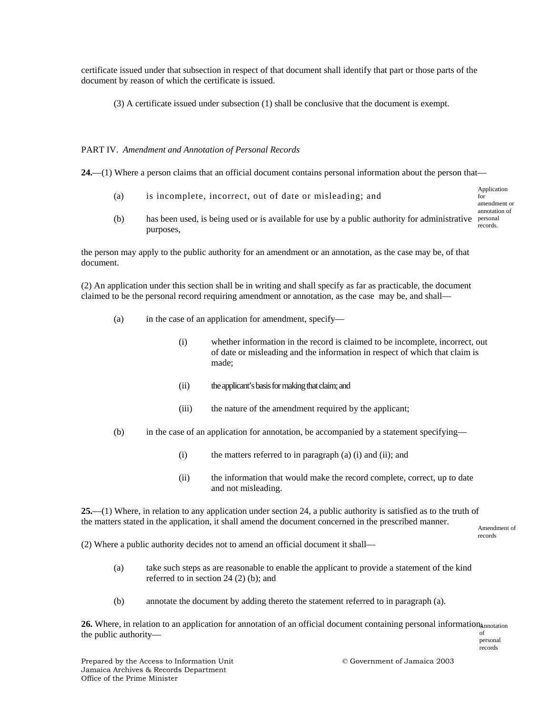certificate issued under that subsection in respect of that document shall identify that part or those parts of the document by reason of which the certificate is issued.

(3) A certificate issued under subsection (1) shall be conclusive that the document is exempt.

#### PART IV. *Amendment and Annotation of Personal Records*

**24.**—(1) Where a person claims that an official document contains personal information about the person that—

- (a) is incomplete, incorrect, out of date or misleading; and Application for amendment or annotation of
- (b) has been used, is being used or is available for use by a public authority for administrative personal purposes, records.

the person may apply to the public authority for an amendment or an annotation, as the case may be, of that document.

(2) An application under this section shall be in writing and shall specify as far as practicable, the document claimed to be the personal record requiring amendment or annotation, as the case may be, and shall—

- (a) in the case of an application for amendment, specify—
	- (i) whether information in the record is claimed to be incomplete, incorrect, out of date or misleading and the information in respect of which that claim is made;
	- (ii) the applicant's basis for making that claim; and
	- (iii) the nature of the amendment required by the applicant;
- (b) in the case of an application for annotation, be accompanied by a statement specifying—
	- (i) the matters referred to in paragraph (a) (i) and (ii); and
	- (ii) the information that would make the record complete, correct, up to date and not misleading.

**25.**—(1) Where, in relation to any application under section 24, a public authority is satisfied as to the truth of the matters stated in the application, it shall amend the document concerned in the prescribed manner.

Amendment of records

(2) Where a public authority decides not to amend an official document it shall—

- (a) take such steps as are reasonable to enable the applicant to provide a statement of the kind referred to in section 24 (2) (b); and
- (b) annotate the document by adding thereto the statement referred to in paragraph (a).

26. Where, in relation to an application for annotation of an official document containing personal information<sub>4nnotation</sub> the public authority of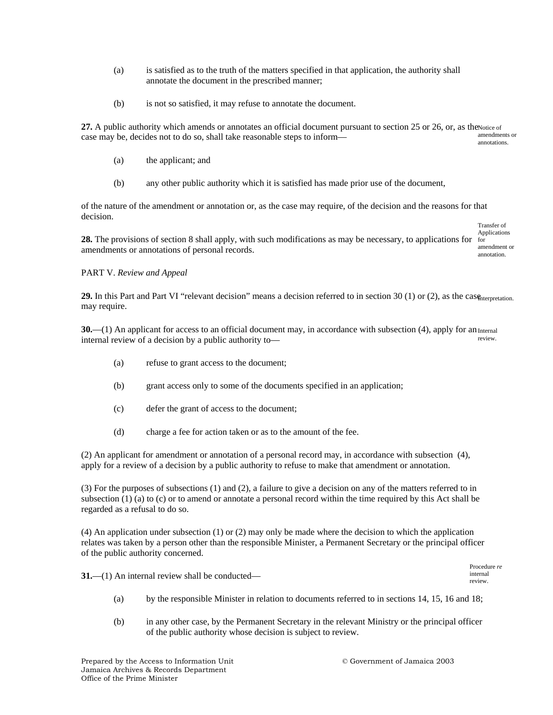- (a) is satisfied as to the truth of the matters specified in that application, the authority shall annotate the document in the prescribed manner;
- (b) is not so satisfied, it may refuse to annotate the document.

27. A public authority which amends or annotates an official document pursuant to section 25 or 26, or, as the Notice of case may be, decides not to do so, shall take reasonable steps to inform amendments or annotations.

- (a) the applicant; and
- (b) any other public authority which it is satisfied has made prior use of the document,

of the nature of the amendment or annotation or, as the case may require, of the decision and the reasons for that decision.

**28.** The provisions of section 8 shall apply, with such modifications as may be necessary, to applications for for amendments or annotations of personal records. Applications amendment or annotation.

#### PART V. *Review and Appeal*

**29.** In this Part and Part VI "relevant decision" means a decision referred to in section 30 (1) or (2), as the case the repretation. may require.

**30.**—(1) An applicant for access to an official document may, in accordance with subsection  $(4)$ , apply for an  $_{\text{Internal}}$ internal review of a decision by a public authority to review.

- (a) refuse to grant access to the document;
- (b) grant access only to some of the documents specified in an application;
- (c) defer the grant of access to the document;
- (d) charge a fee for action taken or as to the amount of the fee.

(2) An applicant for amendment or annotation of a personal record may, in accordance with subsection (4), apply for a review of a decision by a public authority to refuse to make that amendment or annotation.

(3) For the purposes of subsections (1) and (2), a failure to give a decision on any of the matters referred to in subsection (1) (a) to (c) or to amend or annotate a personal record within the time required by this Act shall be regarded as a refusal to do so.

(4) An application under subsection (1) or (2) may only be made where the decision to which the application relates was taken by a person other than the responsible Minister, a Permanent Secretary or the principal officer of the public authority concerned.

**31.**—(1) An internal review shall be conducted—

Procedure *re*  internal review.

Transfer of

- (a) by the responsible Minister in relation to documents referred to in sections 14, 15, 16 and 18;
- (b) in any other case, by the Permanent Secretary in the relevant Ministry or the principal officer of the public authority whose decision is subject to review.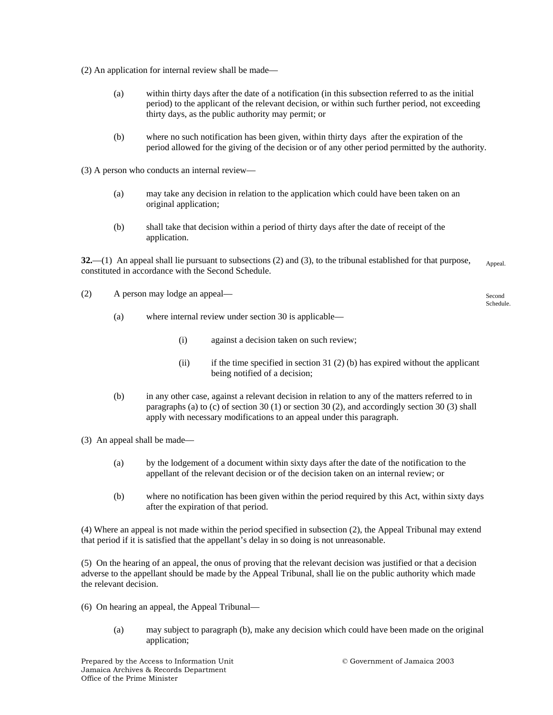(2) An application for internal review shall be made—

- (a) within thirty days after the date of a notification (in this subsection referred to as the initial period) to the applicant of the relevant decision, or within such further period, not exceeding thirty days, as the public authority may permit; or
- (b) where no such notification has been given, within thirty days after the expiration of the period allowed for the giving of the decision or of any other period permitted by the authority.

(3) A person who conducts an internal review—

- (a) may take any decision in relation to the application which could have been taken on an original application;
- (b) shall take that decision within a period of thirty days after the date of receipt of the application.

**32.**—(1) An appeal shall lie pursuant to subsections (2) and (3), to the tribunal established for that purpose, constituted in accordance with the Second Schedule. Appeal.

(2) A person may lodge an appeal—

Second Schedule.

- (a) where internal review under section 30 is applicable—
	- (i) against a decision taken on such review;
	- (ii) if the time specified in section 31 (2) (b) has expired without the applicant being notified of a decision;
- (b) in any other case, against a relevant decision in relation to any of the matters referred to in paragraphs (a) to (c) of section 30 (1) or section 30 (2), and accordingly section 30 (3) shall apply with necessary modifications to an appeal under this paragraph.
- (3) An appeal shall be made—
	- (a) by the lodgement of a document within sixty days after the date of the notification to the appellant of the relevant decision or of the decision taken on an internal review; or
	- (b) where no notification has been given within the period required by this Act, within sixty days after the expiration of that period.

(4) Where an appeal is not made within the period specified in subsection (2), the Appeal Tribunal may extend that period if it is satisfied that the appellant's delay in so doing is not unreasonable.

(5) On the hearing of an appeal, the onus of proving that the relevant decision was justified or that a decision adverse to the appellant should be made by the Appeal Tribunal, shall lie on the public authority which made the relevant decision.

- (6) On hearing an appeal, the Appeal Tribunal—
	- (a) may subject to paragraph (b), make any decision which could have been made on the original application;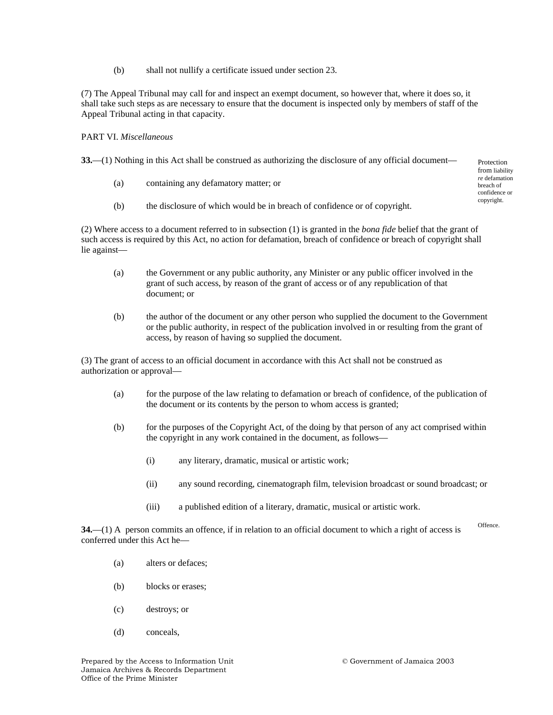(b) shall not nullify a certificate issued under section 23.

(7) The Appeal Tribunal may call for and inspect an exempt document, so however that, where it does so, it shall take such steps as are necessary to ensure that the document is inspected only by members of staff of the Appeal Tribunal acting in that capacity.

#### PART VI. *Miscellaneous*

**33.**—(1) Nothing in this Act shall be construed as authorizing the disclosure of any official document—

- (a) containing any defamatory matter; or
- (b) the disclosure of which would be in breach of confidence or of copyright.

(2) Where access to a document referred to in subsection (1) is granted in the *bona fide* belief that the grant of such access is required by this Act, no action for defamation, breach of confidence or breach of copyright shall lie against—

- (a) the Government or any public authority, any Minister or any public officer involved in the grant of such access, by reason of the grant of access or of any republication of that document; or
- (b) the author of the document or any other person who supplied the document to the Government or the public authority, in respect of the publication involved in or resulting from the grant of access, by reason of having so supplied the document.

(3) The grant of access to an official document in accordance with this Act shall not be construed as authorization or approval—

- (a) for the purpose of the law relating to defamation or breach of confidence, of the publication of the document or its contents by the person to whom access is granted;
- (b) for the purposes of the Copyright Act, of the doing by that person of any act comprised within the copyright in any work contained in the document, as follows—
	- (i) any literary, dramatic, musical or artistic work;
	- (ii) any sound recording, cinematograph film, television broadcast or sound broadcast; or
	- (iii) a published edition of a literary, dramatic, musical or artistic work.

**34.**—(1) A person commits an offence, if in relation to an official document to which a right of access is conferred under this Act he— Offence.

- (a) alters or defaces;
- (b) blocks or erases;
- (c) destroys; or
- (d) conceals,

Protection from liability *re* defamation breach of confidence or copyright.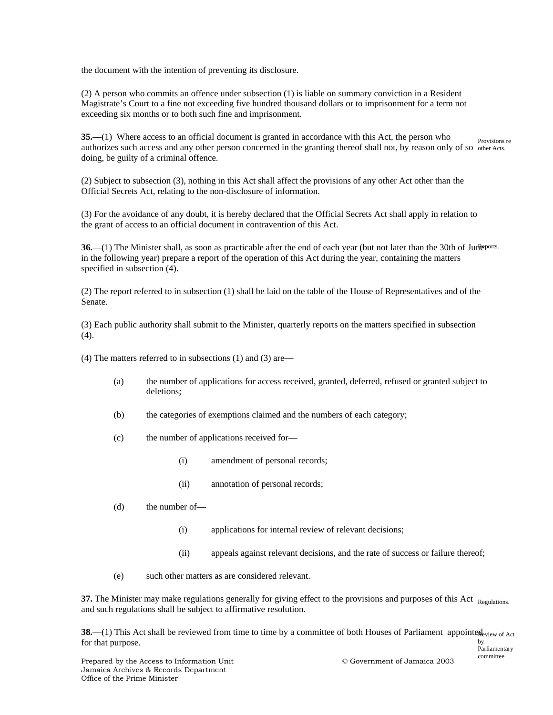the document with the intention of preventing its disclosure.

(2) A person who commits an offence under subsection (1) is liable on summary conviction in a Resident Magistrate's Court to a fine not exceeding five hundred thousand dollars or to imprisonment for a term not exceeding six months or to both such fine and imprisonment.

**35.**—(1) Where access to an official document is granted in accordance with this Act, the person who authorizes such access and any other person concerned in the granting thereof shall not, by reason only of so other Acts. doing, be guilty of a criminal offence. Provisions re

(2) Subject to subsection (3), nothing in this Act shall affect the provisions of any other Act other than the Official Secrets Act, relating to the non-disclosure of information.

(3) For the avoidance of any doubt, it is hereby declared that the Official Secrets Act shall apply in relation to the grant of access to an official document in contravention of this Act.

**36.**—(1) The Minister shall, as soon as practicable after the end of each year (but not later than the 30th of June ports. in the following year) prepare a report of the operation of this Act during the year, containing the matters specified in subsection (4).

(2) The report referred to in subsection (1) shall be laid on the table of the House of Representatives and of the Senate.

(3) Each public authority shall submit to the Minister, quarterly reports on the matters specified in subsection (4).

- (4) The matters referred to in subsections (1) and (3) are—
	- (a) the number of applications for access received, granted, deferred, refused or granted subject to deletions;
	- (b) the categories of exemptions claimed and the numbers of each category;
	- (c) the number of applications received for—
		- (i) amendment of personal records;
		- (ii) annotation of personal records;
	- (d) the number of—
		- (i) applications for internal review of relevant decisions;
		- (ii) appeals against relevant decisions, and the rate of success or failure thereof;
	- (e) such other matters as are considered relevant.

**37.** The Minister may make regulations generally for giving effect to the provisions and purposes of this Act Regulations. and such regulations shall be subject to affirmative resolution.

**38.**—(1) This Act shall be reviewed from time to time by a committee of both Houses of Parliament appointed view of Act for that purpose. by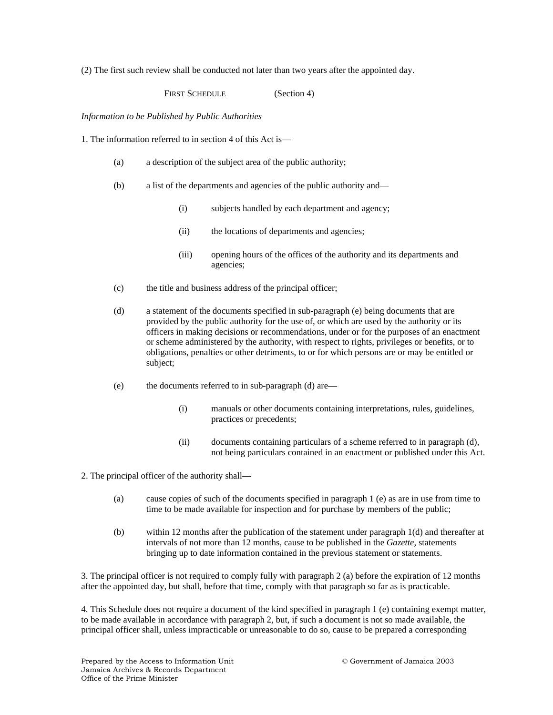(2) The first such review shall be conducted not later than two years after the appointed day.

FIRST SCHEDULE (Section 4)

*Information to be Published by Public Authorities* 

1. The information referred to in section 4 of this Act is—

- (a) a description of the subject area of the public authority;
- (b) a list of the departments and agencies of the public authority and—
	- (i) subjects handled by each department and agency;
	- (ii) the locations of departments and agencies;
	- (iii) opening hours of the offices of the authority and its departments and agencies;
- (c) the title and business address of the principal officer;
- (d) a statement of the documents specified in sub-paragraph (e) being documents that are provided by the public authority for the use of, or which are used by the authority or its officers in making decisions or recommendations, under or for the purposes of an enactment or scheme administered by the authority, with respect to rights, privileges or benefits, or to obligations, penalties or other detriments, to or for which persons are or may be entitled or subject;
- (e) the documents referred to in sub-paragraph (d) are—
	- (i) manuals or other documents containing interpretations, rules, guidelines, practices or precedents;
	- (ii) documents containing particulars of a scheme referred to in paragraph (d), not being particulars contained in an enactment or published under this Act.

2. The principal officer of the authority shall—

- (a) cause copies of such of the documents specified in paragraph 1 (e) as are in use from time to time to be made available for inspection and for purchase by members of the public;
- (b) within 12 months after the publication of the statement under paragraph 1(d) and thereafter at intervals of not more than 12 months, cause to be published in the *Gazette*, statements bringing up to date information contained in the previous statement or statements.

3. The principal officer is not required to comply fully with paragraph 2 (a) before the expiration of 12 months after the appointed day, but shall, before that time, comply with that paragraph so far as is practicable.

4. This Schedule does not require a document of the kind specified in paragraph 1 (e) containing exempt matter, to be made available in accordance with paragraph 2, but, if such a document is not so made available, the principal officer shall, unless impracticable or unreasonable to do so, cause to be prepared a corresponding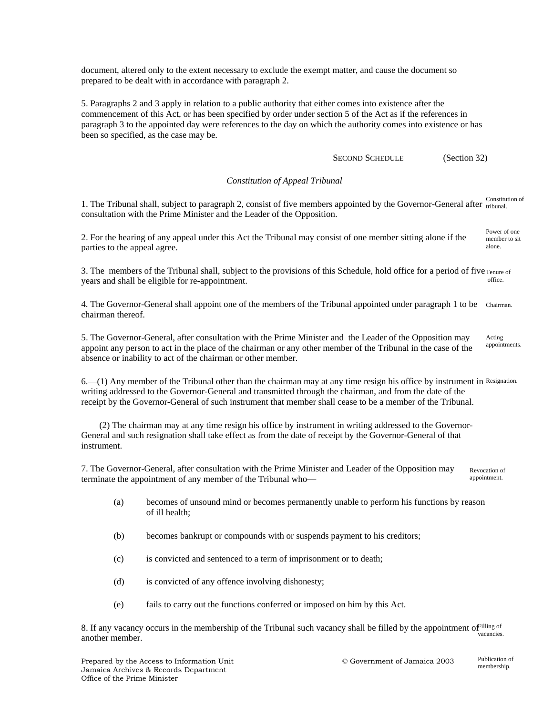document, altered only to the extent necessary to exclude the exempt matter, and cause the document so prepared to be dealt with in accordance with paragraph 2.

5. Paragraphs 2 and 3 apply in relation to a public authority that either comes into existence after the commencement of this Act, or has been specified by order under section 5 of the Act as if the references in paragraph 3 to the appointed day were references to the day on which the authority comes into existence or has been so specified, as the case may be.

SECOND SCHEDULE (Section 32)

#### *Constitution of Appeal Tribunal*

1. The Tribunal shall, subject to paragraph 2, consist of five members appointed by the Governor-General after tribunal. consultation with the Prime Minister and the Leader of the Opposition. Constitution of

2. For the hearing of any appeal under this Act the Tribunal may consist of one member sitting alone if the parties to the appeal agree. Power of one member to sit alone.

3. The members of the Tribunal shall, subject to the provisions of this Schedule, hold office for a period of five  $T_{\text{enure of}}$ years and shall be eligible for re-appointment. office.

4. The Governor-General shall appoint one of the members of the Tribunal appointed under paragraph 1 to be Chairman. chairman thereof.

5. The Governor-General, after consultation with the Prime Minister and the Leader of the Opposition may appoint any person to act in the place of the chairman or any other member of the Tribunal in the case of the absence or inability to act of the chairman or other member. Acting appointments.

6.—(1) Any member of the Tribunal other than the chairman may at any time resign his office by instrument in Resignation. writing addressed to the Governor-General and transmitted through the chairman, and from the date of the receipt by the Governor-General of such instrument that member shall cease to be a member of the Tribunal.

 (2) The chairman may at any time resign his office by instrument in writing addressed to the Governor-General and such resignation shall take effect as from the date of receipt by the Governor-General of that instrument.

7. The Governor-General, after consultation with the Prime Minister and Leader of the Opposition may terminate the appointment of any member of the Tribunal who— Revocation of appointment.

- (a) becomes of unsound mind or becomes permanently unable to perform his functions by reason of ill health;
- (b) becomes bankrupt or compounds with or suspends payment to his creditors;
- (c) is convicted and sentenced to a term of imprisonment or to death;
- (d) is convicted of any offence involving dishonesty;
- (e) fails to carry out the functions conferred or imposed on him by this Act.

8. If any vacancy occurs in the membership of the Tribunal such vacancy shall be filled by the appointment of illing of another member. vacancies.